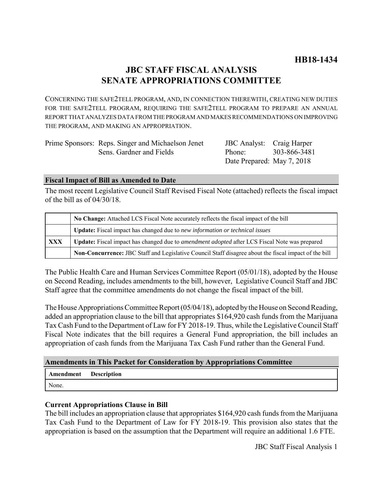# **JBC STAFF FISCAL ANALYSIS SENATE APPROPRIATIONS COMMITTEE**

CONCERNING THE SAFE2TELL PROGRAM, AND, IN CONNECTION THEREWITH, CREATING NEW DUTIES FOR THE SAFE2TELL PROGRAM, REQUIRING THE SAFE2TELL PROGRAM TO PREPARE AN ANNUAL REPORT THAT ANALYZES DATA FROM THE PROGRAM AND MAKES RECOMMENDATIONS ON IMPROVING THE PROGRAM, AND MAKING AN APPROPRIATION.

| Prime Sponsors: Reps. Singer and Michaelson Jenet |    |
|---------------------------------------------------|----|
| Sens. Gardner and Fields                          | Pl |
|                                                   |    |

| <b>JBC</b> Analyst:        | Craig Harper |
|----------------------------|--------------|
| Phone:                     | 303-866-3481 |
| Date Prepared: May 7, 2018 |              |

#### **Fiscal Impact of Bill as Amended to Date**

The most recent Legislative Council Staff Revised Fiscal Note (attached) reflects the fiscal impact of the bill as of 04/30/18.

|     | No Change: Attached LCS Fiscal Note accurately reflects the fiscal impact of the bill                       |  |  |
|-----|-------------------------------------------------------------------------------------------------------------|--|--|
|     | <b>Update:</b> Fiscal impact has changed due to new information or technical issues                         |  |  |
| XXX | <b>Update:</b> Fiscal impact has changed due to <i>amendment adopted</i> after LCS Fiscal Note was prepared |  |  |
|     | Non-Concurrence: JBC Staff and Legislative Council Staff disagree about the fiscal impact of the bill       |  |  |

The Public Health Care and Human Services Committee Report (05/01/18), adopted by the House on Second Reading, includes amendments to the bill, however, Legislative Council Staff and JBC Staff agree that the committee amendments do not change the fiscal impact of the bill.

The House Appropriations Committee Report (05/04/18), adopted by the House on Second Reading, added an appropriation clause to the bill that appropriates \$164,920 cash funds from the Marijuana Tax Cash Fund to the Department of Law for FY 2018-19. Thus, while the Legislative Council Staff Fiscal Note indicates that the bill requires a General Fund appropriation, the bill includes an appropriation of cash funds from the Marijuana Tax Cash Fund rather than the General Fund.

### **Amendments in This Packet for Consideration by Appropriations Committee**

| Amendment | <b>Description</b> |
|-----------|--------------------|
|-----------|--------------------|

None.

### **Current Appropriations Clause in Bill**

The bill includes an appropriation clause that appropriates \$164,920 cash funds from the Marijuana Tax Cash Fund to the Department of Law for FY 2018-19. This provision also states that the appropriation is based on the assumption that the Department will require an additional 1.6 FTE.